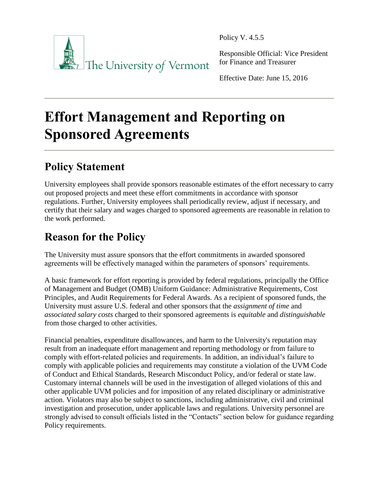

Policy V. 4.5.5

Responsible Official: Vice President for Finance and Treasurer

Effective Date: June 15, 2016

# **Effort Management and Reporting on Sponsored Agreements**

# **Policy Statement**

University employees shall provide sponsors reasonable estimates of the effort necessary to carry out proposed projects and meet these effort commitments in accordance with sponsor regulations. Further, University employees shall periodically review, adjust if necessary, and certify that their salary and wages charged to sponsored agreements are reasonable in relation to the work performed.

# **Reason for the Policy**

The University must assure sponsors that the effort commitments in awarded sponsored agreements will be effectively managed within the parameters of sponsors' requirements.

A basic framework for effort reporting is provided by federal regulations, principally the Office of Management and Budget (OMB) Uniform Guidance: Administrative Requirements, Cost Principles, and Audit Requirements for Federal Awards. As a recipient of sponsored funds, the University must assure U.S. federal and other sponsors that the *assignment of time* and *associated salary costs* charged to their sponsored agreements is *equitable* and *distinguishable* from those charged to other activities.

Financial penalties, expenditure disallowances, and harm to the University's reputation may result from an inadequate effort management and reporting methodology or from failure to comply with effort-related policies and requirements. In addition, an individual's failure to comply with applicable policies and requirements may constitute a violation of the UVM Code of Conduct and Ethical Standards, Research Misconduct Policy, and/or federal or state law. Customary internal channels will be used in the investigation of alleged violations of this and other applicable UVM policies and for imposition of any related disciplinary or administrative action. Violators may also be subject to sanctions, including administrative, civil and criminal investigation and prosecution, under applicable laws and regulations. University personnel are strongly advised to consult officials listed in the "Contacts" section below for guidance regarding Policy requirements.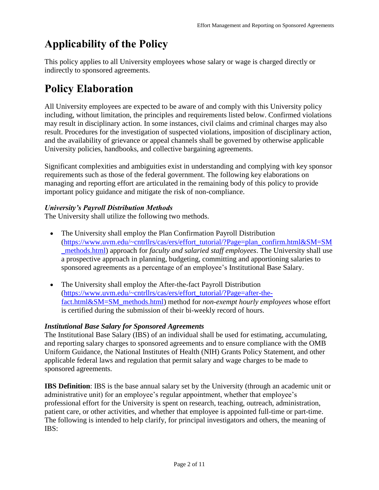# **Applicability of the Policy**

This policy applies to all University employees whose salary or wage is charged directly or indirectly to sponsored agreements.

# **Policy Elaboration**

All University employees are expected to be aware of and comply with this University policy including, without limitation, the principles and requirements listed below. Confirmed violations may result in disciplinary action. In some instances, civil claims and criminal charges may also result. Procedures for the investigation of suspected violations, imposition of disciplinary action, and the availability of grievance or appeal channels shall be governed by otherwise applicable University policies, handbooks, and collective bargaining agreements.

Significant complexities and ambiguities exist in understanding and complying with key sponsor requirements such as those of the federal government. The following key elaborations on managing and reporting effort are articulated in the remaining body of this policy to provide important policy guidance and mitigate the risk of non-compliance.

#### *University's Payroll Distribution Methods*

The University shall utilize the following two methods.

- The University shall employ the Plan Confirmation Payroll Distribution [\(https://www.uvm.edu/~cntrllrs/cas/ers/effort\\_tutorial/?Page=plan\\_confirm.html&SM=SM](https://www.uvm.edu/~cntrllrs/cas/ers/effort_tutorial/?Page=plan_confirm.html&SM=SM_methods.html) [\\_methods.html\)](https://www.uvm.edu/~cntrllrs/cas/ers/effort_tutorial/?Page=plan_confirm.html&SM=SM_methods.html) approach for *faculty and salaried staff employees*. The University shall use a prospective approach in planning, budgeting, committing and apportioning salaries to sponsored agreements as a percentage of an employee's Institutional Base Salary.
- The University shall employ the After-the-fact Payroll Distribution [\(https://www.uvm.edu/~cntrllrs/cas/ers/effort\\_tutorial/?Page=after-the](https://www.uvm.edu/~cntrllrs/cas/ers/effort_tutorial/?Page=after-the-fact.html&SM=SM_methods.html)[fact.html&SM=SM\\_methods.html\)](https://www.uvm.edu/~cntrllrs/cas/ers/effort_tutorial/?Page=after-the-fact.html&SM=SM_methods.html) method for *non-exempt hourly employees* whose effort is certified during the submission of their bi-weekly record of hours.

#### *Institutional Base Salary for Sponsored Agreements*

The Institutional Base Salary (IBS) of an individual shall be used for estimating, accumulating, and reporting salary charges to sponsored agreements and to ensure compliance with the OMB Uniform Guidance, the National Institutes of Health (NIH) Grants Policy Statement, and other applicable federal laws and regulation that permit salary and wage charges to be made to sponsored agreements.

**IBS Definition**: IBS is the base annual salary set by the University (through an academic unit or administrative unit) for an employee's regular appointment, whether that employee's professional effort for the University is spent on research, teaching, outreach, administration, patient care, or other activities, and whether that employee is appointed full-time or part-time. The following is intended to help clarify, for principal investigators and others, the meaning of IBS: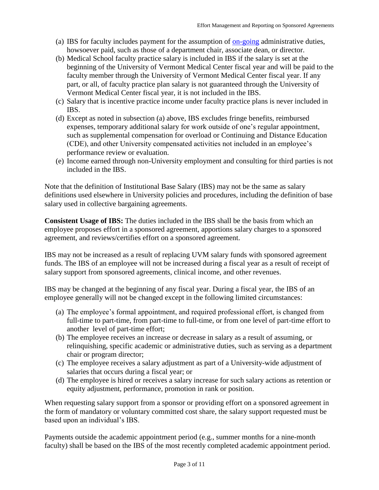- (a) IBS for faculty includes payment for the assumption of [on-going](#page-8-0) administrative duties, howsoever paid, such as those of a department chair, associate dean, or director.
- (b) Medical School faculty practice salary is included in IBS if the salary is set at the beginning of the University of Vermont Medical Center fiscal year and will be paid to the faculty member through the University of Vermont Medical Center fiscal year. If any part, or all, of faculty practice plan salary is not guaranteed through the University of Vermont Medical Center fiscal year, it is not included in the IBS.
- (c) Salary that is incentive practice income under faculty practice plans is never included in IBS.
- (d) Except as noted in subsection (a) above, IBS excludes fringe benefits, reimbursed expenses, temporary additional salary for work outside of one's regular appointment, such as supplemental compensation for overload or Continuing and Distance Education (CDE), and other University compensated activities not included in an employee's performance review or evaluation.
- (e) Income earned through non-University employment and consulting for third parties is not included in the IBS.

Note that the definition of Institutional Base Salary (IBS) may not be the same as salary definitions used elsewhere in University policies and procedures, including the definition of base salary used in collective bargaining agreements.

**Consistent Usage of IBS:** The duties included in the IBS shall be the basis from which an employee proposes effort in a sponsored agreement, apportions salary charges to a sponsored agreement, and reviews/certifies effort on a sponsored agreement.

IBS may not be increased as a result of replacing UVM salary funds with sponsored agreement funds. The IBS of an employee will not be increased during a fiscal year as a result of receipt of salary support from sponsored agreements, clinical income, and other revenues.

IBS may be changed at the beginning of any fiscal year. During a fiscal year, the IBS of an employee generally will not be changed except in the following limited circumstances:

- (a) The employee's formal appointment, and required professional effort, is changed from full-time to part-time, from part-time to full-time, or from one level of part-time effort to another level of part-time effort;
- (b) The employee receives an increase or decrease in salary as a result of assuming, or relinquishing, specific academic or administrative duties, such as serving as a department chair or program director;
- (c) The employee receives a salary adjustment as part of a University-wide adjustment of salaries that occurs during a fiscal year; or
- (d) The employee is hired or receives a salary increase for such salary actions as retention or equity adjustment, performance, promotion in rank or position.

When requesting salary support from a sponsor or providing effort on a sponsored agreement in the form of mandatory or voluntary committed cost share, the salary support requested must be based upon an individual's IBS.

Payments outside the academic appointment period (e.g., summer months for a nine-month faculty) shall be based on the IBS of the most recently completed academic appointment period.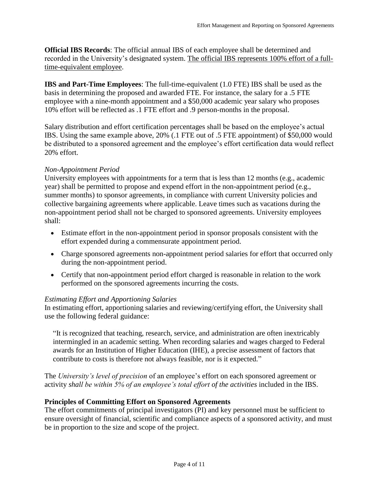**Official IBS Records**: The official annual IBS of each employee shall be determined and recorded in the University's designated system. The official IBS represents 100% effort of a fulltime-equivalent employee.

**IBS and Part-Time Employees**: The full-time-equivalent (1.0 FTE) IBS shall be used as the basis in determining the proposed and awarded FTE. For instance, the salary for a .5 FTE employee with a nine-month appointment and a \$50,000 academic year salary who proposes 10% effort will be reflected as .1 FTE effort and .9 person-months in the proposal.

Salary distribution and effort certification percentages shall be based on the employee's actual IBS. Using the same example above, 20% (.1 FTE out of .5 FTE appointment) of \$50,000 would be distributed to a sponsored agreement and the employee's effort certification data would reflect 20% effort.

#### *Non-Appointment Period*

University employees with appointments for a term that is less than 12 months (e.g., academic year) shall be permitted to propose and expend effort in the non-appointment period (e.g., summer months) to sponsor agreements, in compliance with current University policies and collective bargaining agreements where applicable. Leave times such as vacations during the non-appointment period shall not be charged to sponsored agreements. University employees shall:

- Estimate effort in the non-appointment period in sponsor proposals consistent with the effort expended during a commensurate appointment period.
- Charge sponsored agreements non-appointment period salaries for effort that occurred only during the non-appointment period.
- Certify that non-appointment period effort charged is reasonable in relation to the work performed on the sponsored agreements incurring the costs.

#### *Estimating Effort and Apportioning Salaries*

In estimating effort, apportioning salaries and reviewing/certifying effort, the University shall use the following federal guidance:

"It is recognized that teaching, research, service, and administration are often inextricably intermingled in an academic setting. When recording salaries and wages charged to Federal awards for an Institution of Higher Education (IHE), a precise assessment of factors that contribute to costs is therefore not always feasible, nor is it expected."

The *University's level of precision* of an employee's effort on each sponsored agreement or activity *shall be within 5% of an employee's total effort of the activities* included in the IBS.

#### **Principles of Committing Effort on Sponsored Agreements**

The effort commitments of principal investigators (PI) and key personnel must be sufficient to ensure oversight of financial, scientific and compliance aspects of a sponsored activity, and must be in proportion to the size and scope of the project.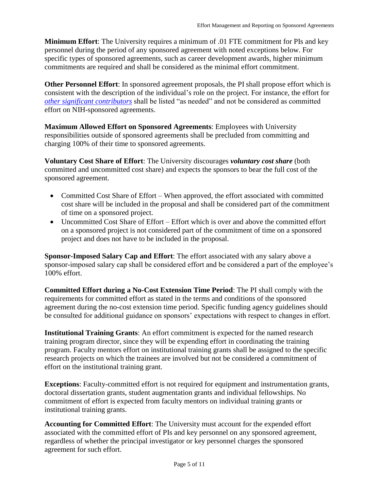**Minimum Effort**: The University requires a minimum of .01 FTE commitment for PIs and key personnel during the period of any sponsored agreement with noted exceptions below. For specific types of sponsored agreements, such as career development awards, higher minimum commitments are required and shall be considered as the minimal effort commitment.

**Other Personnel Effort**: In sponsored agreement proposals, the PI shall propose effort which is consistent with the description of the individual's role on the project. For instance, the effort for *[other significant contributors](#page-8-1)* shall be listed "as needed" and not be considered as committed effort on NIH-sponsored agreements.

**Maximum Allowed Effort on Sponsored Agreements**: Employees with University responsibilities outside of sponsored agreements shall be precluded from committing and charging 100% of their time to sponsored agreements.

**Voluntary Cost Share of Effort**: The University discourages *voluntary cost share* (both committed and uncommitted cost share) and expects the sponsors to bear the full cost of the sponsored agreement.

- Committed Cost Share of Effort When approved, the effort associated with committed cost share will be included in the proposal and shall be considered part of the commitment of time on a sponsored project.
- Uncommitted Cost Share of Effort Effort which is over and above the committed effort on a sponsored project is not considered part of the commitment of time on a sponsored project and does not have to be included in the proposal.

**Sponsor-Imposed Salary Cap and Effort**: The effort associated with any salary above a sponsor-imposed salary cap shall be considered effort and be considered a part of the employee's 100% effort.

**Committed Effort during a No-Cost Extension Time Period**: The PI shall comply with the requirements for committed effort as stated in the terms and conditions of the sponsored agreement during the no-cost extension time period. Specific funding agency guidelines should be consulted for additional guidance on sponsors' expectations with respect to changes in effort.

**Institutional Training Grants**: An effort commitment is expected for the named research training program director, since they will be expending effort in coordinating the training program. Faculty mentors effort on institutional training grants shall be assigned to the specific research projects on which the trainees are involved but not be considered a commitment of effort on the institutional training grant.

**Exceptions**: Faculty-committed effort is not required for equipment and instrumentation grants, doctoral dissertation grants, student augmentation grants and individual fellowships. No commitment of effort is expected from faculty mentors on individual training grants or institutional training grants.

**Accounting for Committed Effort**: The University must account for the expended effort associated with the committed effort of PIs and key personnel on any sponsored agreement, regardless of whether the principal investigator or key personnel charges the sponsored agreement for such effort.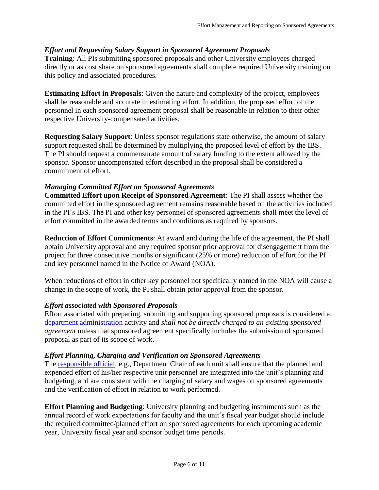#### *Effort and Requesting Salary Support in Sponsored Agreement Proposals*

**Training**: All PIs submitting sponsored proposals and other University employees charged directly or as cost share on sponsored agreements shall complete required University training on this policy and associated procedures.

**Estimating Effort in Proposals**: Given the nature and complexity of the project, employees shall be reasonable and accurate in estimating effort. In addition, the proposed effort of the personnel in each sponsored agreement proposal shall be reasonable in relation to their other respective University-compensated activities.

**Requesting Salary Support**: Unless sponsor regulations state otherwise, the amount of salary support requested shall be determined by multiplying the proposed level of effort by the IBS. The PI should request a commensurate amount of salary funding to the extent allowed by the sponsor. Sponsor uncompensated effort described in the proposal shall be considered a commitment of effort.

#### *Managing Committed Effort on Sponsored Agreements*

**Committed Effort upon Receipt of Sponsored Agreement**: The PI shall assess whether the committed effort in the sponsored agreement remains reasonable based on the activities included in the PI's IBS. The PI and other key personnel of sponsored agreements shall meet the level of effort committed in the awarded terms and conditions as required by sponsors.

**Reduction of Effort Commitments**: At award and during the life of the agreement, the PI shall obtain University approval and any required sponsor prior approval for disengagement from the project for three consecutive months or significant (25% or more) reduction of effort for the PI and key personnel named in the Notice of Award (NOA).

When reductions of effort in other key personnel not specifically named in the NOA will cause a change in the scope of work, the PI shall obtain prior approval from the sponsor.

#### *Effort associated with Sponsored Proposals*

Effort associated with preparing, submitting and supporting sponsored proposals is considered a [department administration](#page-7-0) activity and *shall not be directly charged to an existing sponsored agreement* unless that sponsored agreement specifically includes the submission of sponsored proposal as part of its scope of work.

#### *Effort Planning, Charging and Verification on Sponsored Agreements*

The [responsible official,](#page-8-2) e.g., Department Chair of each unit shall ensure that the planned and expended effort of his/her respective unit personnel are integrated into the unit's planning and budgeting, and are consistent with the charging of salary and wages on sponsored agreements and the verification of effort in relation to work performed.

**Effort Planning and Budgeting**: University planning and budgeting instruments such as the annual record of work expectations for faculty and the unit's fiscal year budget should include the required committed/planned effort on sponsored agreements for each upcoming academic year, University fiscal year and sponsor budget time periods.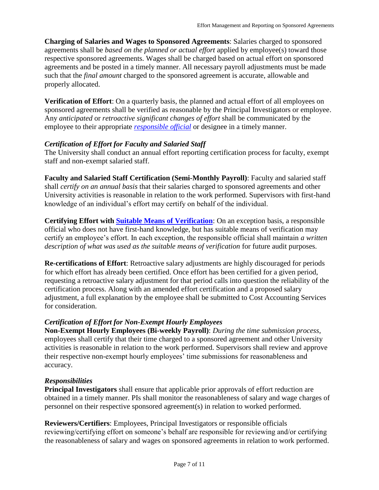**Charging of Salaries and Wages to Sponsored Agreements**: Salaries charged to sponsored agreements shall be *based on the planned or actual effort* applied by employee(s) toward those respective sponsored agreements. Wages shall be charged based on actual effort on sponsored agreements and be posted in a timely manner. All necessary payroll adjustments must be made such that the *final amount* charged to the sponsored agreement is accurate, allowable and properly allocated.

**Verification of Effort**: On a quarterly basis, the planned and actual effort of all employees on sponsored agreements shall be verified as reasonable by the Principal Investigators or employee. Any *anticipated* or *retroactive significant changes of effort* shall be communicated by the employee to their appropriate *[responsible official](#page-8-2)* or designee in a timely manner.

#### *Certification of Effort for Faculty and Salaried Staff*

The University shall conduct an annual effort reporting certification process for faculty, exempt staff and non-exempt salaried staff.

**Faculty and Salaried Staff Certification (Semi-Monthly Payroll)**: Faculty and salaried staff shall *certify on an annual basis* that their salaries charged to sponsored agreements and other University activities is reasonable in relation to the work performed. Supervisors with first-hand knowledge of an individual's effort may certify on behalf of the individual.

**Certifying Effort with [Suitable Means of Verification](#page-8-3)**: On an exception basis, a responsible official who does not have first-hand knowledge, but has suitable means of verification may certify an employee's effort. In each exception, the responsible official shall maintain *a written description of what was used as the suitable means of verification* for future audit purposes.

**Re-certifications of Effort**: Retroactive salary adjustments are highly discouraged for periods for which effort has already been certified. Once effort has been certified for a given period, requesting a retroactive salary adjustment for that period calls into question the reliability of the certification process. Along with an amended effort certification and a proposed salary adjustment, a full explanation by the employee shall be submitted to Cost Accounting Services for consideration.

#### *Certification of Effort for Non-Exempt Hourly Employees*

**Non-Exempt Hourly Employees (Bi-weekly Payroll)**: *During the time submission process*, employees shall certify that their time charged to a sponsored agreement and other University activities is reasonable in relation to the work performed. Supervisors shall review and approve their respective non-exempt hourly employees' time submissions for reasonableness and accuracy.

#### *Responsibilities*

**Principal Investigators** shall ensure that applicable prior approvals of effort reduction are obtained in a timely manner. PIs shall monitor the reasonableness of salary and wage charges of personnel on their respective sponsored agreement(s) in relation to worked performed.

**Reviewers/Certifiers**: Employees, Principal Investigators or responsible officials reviewing/certifying effort on someone's behalf are responsible for reviewing and/or certifying the reasonableness of salary and wages on sponsored agreements in relation to work performed.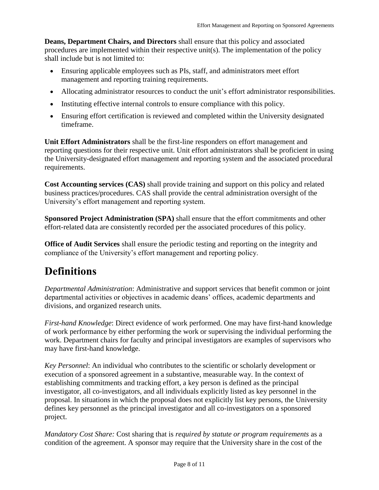**Deans, Department Chairs, and Directors** shall ensure that this policy and associated procedures are implemented within their respective unit(s). The implementation of the policy shall include but is not limited to:

- Ensuring applicable employees such as PIs, staff, and administrators meet effort management and reporting training requirements.
- Allocating administrator resources to conduct the unit's effort administrator responsibilities.
- Instituting effective internal controls to ensure compliance with this policy.
- Ensuring effort certification is reviewed and completed within the University designated timeframe.

**Unit Effort Administrators** shall be the first-line responders on effort management and reporting questions for their respective unit. Unit effort administrators shall be proficient in using the University-designated effort management and reporting system and the associated procedural requirements.

**Cost Accounting services (CAS)** shall provide training and support on this policy and related business practices/procedures. CAS shall provide the central administration oversight of the University's effort management and reporting system.

**Sponsored Project Administration (SPA)** shall ensure that the effort commitments and other effort-related data are consistently recorded per the associated procedures of this policy.

**Office of Audit Services** shall ensure the periodic testing and reporting on the integrity and compliance of the University's effort management and reporting policy.

### **Definitions**

<span id="page-7-0"></span>*Departmental Administration*: Administrative and support services that benefit common or joint departmental activities or objectives in academic deans' offices, academic departments and divisions, and organized research units.

*First-hand Knowledge*: Direct evidence of work performed. One may have first-hand knowledge of work performance by either performing the work or supervising the individual performing the work. Department chairs for faculty and principal investigators are examples of supervisors who may have first-hand knowledge.

*Key Personnel*: An individual who contributes to the scientific or scholarly development or execution of a sponsored agreement in a substantive, measurable way. In the context of establishing commitments and tracking effort, a key person is defined as the principal investigator, all co-investigators, and all individuals explicitly listed as key personnel in the proposal. In situations in which the proposal does not explicitly list key persons, the University defines key personnel as the principal investigator and all co-investigators on a sponsored project.

*Mandatory Cost Share:* Cost sharing that is *required by statute or program requirements* as a condition of the agreement. A sponsor may require that the University share in the cost of the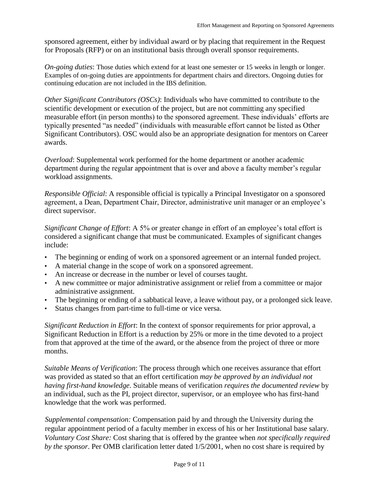sponsored agreement, either by individual award or by placing that requirement in the Request for Proposals (RFP) or on an institutional basis through overall sponsor requirements.

<span id="page-8-0"></span>*On-going duties*: Those duties which extend for at least one semester or 15 weeks in length or longer. Examples of on-going duties are appointments for department chairs and directors. Ongoing duties for continuing education are not included in the IBS definition.

<span id="page-8-1"></span>*Other Significant Contributors (OSCs)*: Individuals who have committed to contribute to the scientific development or execution of the project, but are not committing any specified measurable effort (in person months) to the sponsored agreement. These individuals' efforts are typically presented "as needed" (individuals with measurable effort cannot be listed as Other Significant Contributors). OSC would also be an appropriate designation for mentors on Career awards.

*Overload*: Supplemental work performed for the home department or another academic department during the regular appointment that is over and above a faculty member's regular workload assignments.

<span id="page-8-2"></span>*Responsible Official*: A responsible official is typically a Principal Investigator on a sponsored agreement, a Dean, Department Chair, Director, administrative unit manager or an employee's direct supervisor.

*Significant Change of Effort*: A 5% or greater change in effort of an employee's total effort is considered a significant change that must be communicated. Examples of significant changes include:

- The beginning or ending of work on a sponsored agreement or an internal funded project.
- A material change in the scope of work on a sponsored agreement.
- An increase or decrease in the number or level of courses taught.
- A new committee or major administrative assignment or relief from a committee or major administrative assignment.
- The beginning or ending of a sabbatical leave, a leave without pay, or a prolonged sick leave.
- Status changes from part-time to full-time or vice versa.

*Significant Reduction in Effort*: In the context of sponsor requirements for prior approval, a Significant Reduction in Effort is a reduction by 25% or more in the time devoted to a project from that approved at the time of the award, or the absence from the project of three or more months.

<span id="page-8-3"></span>*Suitable Means of Verification*: The process through which one receives assurance that effort was provided as stated so that an effort certification *may be approved by an individual not having first-hand knowledge*. Suitable means of verification *requires the documented review* by an individual, such as the PI, project director, supervisor, or an employee who has first-hand knowledge that the work was performed.

*Supplemental compensation:* Compensation paid by and through the University during the regular appointment period of a faculty member in excess of his or her Institutional base salary. *Voluntary Cost Share:* Cost sharing that is offered by the grantee when *not specifically required by the sponsor*. Per OMB clarification letter dated 1/5/2001, when no cost share is required by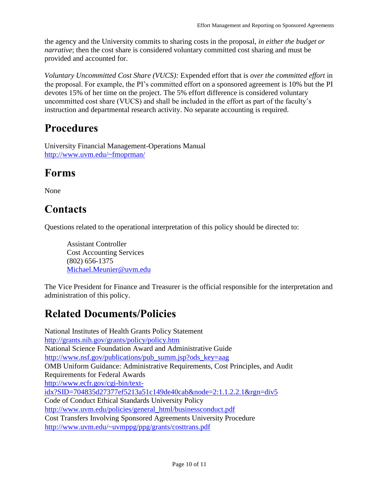the agency and the University commits to sharing costs in the proposal, *in either the budget or narrative*; then the cost share is considered voluntary committed cost sharing and must be provided and accounted for.

*Voluntary Uncommitted Cost Share (VUCS):* Expended effort that is *over the committed effort* in the proposal. For example, the PI's committed effort on a sponsored agreement is 10% but the PI devotes 15% of her time on the project. The 5% effort difference is considered voluntary uncommitted cost share (VUCS) and shall be included in the effort as part of the faculty's instruction and departmental research activity. No separate accounting is required.

### **Procedures**

University Financial Management-Operations Manual <http://www.uvm.edu/~fmoprman/>

### **Forms**

None

# **Contacts**

Questions related to the operational interpretation of this policy should be directed to:

Assistant Controller Cost Accounting Services (802) 656-1375 [Michael.Meunier@uvm.edu](mailto:Michael.Meunier@uvm.edu)

The Vice President for Finance and Treasurer is the official responsible for the interpretation and administration of this policy.

# **Related Documents/Policies**

National Institutes of Health Grants Policy Statement <http://grants.nih.gov/grants/policy/policy.htm> National Science Foundation Award and Administrative Guide [http://www.nsf.gov/publications/pub\\_summ.jsp?ods\\_key=aag](http://www.nsf.gov/publications/pub_summ.jsp?ods_key=aag) OMB Uniform Guidance: Administrative Requirements, Cost Principles, and Audit Requirements for Federal Awards [http://www.ecfr.gov/cgi-bin/text](http://www.ecfr.gov/cgi-bin/text-idx?SID=704835d27377ef5213a51c149de40cab&node=2:1.1.2.2.1&rgn=div5)[idx?SID=704835d27377ef5213a51c149de40cab&node=2:1.1.2.2.1&rgn=div5](http://www.ecfr.gov/cgi-bin/text-idx?SID=704835d27377ef5213a51c149de40cab&node=2:1.1.2.2.1&rgn=div5) Code of Conduct Ethical Standards University Policy [http://www.uvm.edu/policies/general\\_html/businessconduct.pdf](http://www.uvm.edu/policies/general_html/businessconduct.pdf) Cost Transfers Involving Sponsored Agreements University Procedure <http://www.uvm.edu/~uvmppg/ppg/grants/costtrans.pdf>